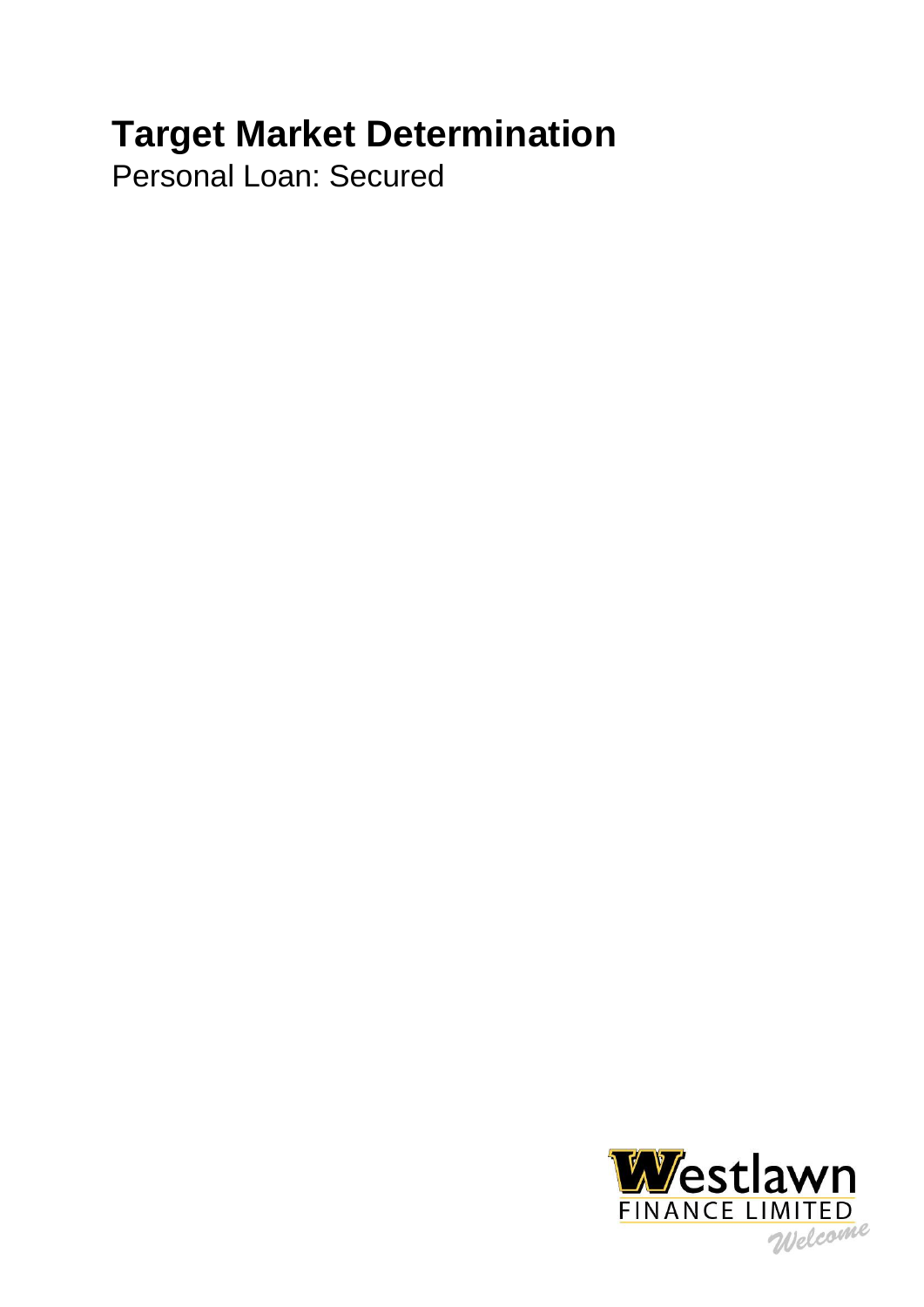# **Target Market Determination**

Personal Loan: Secured

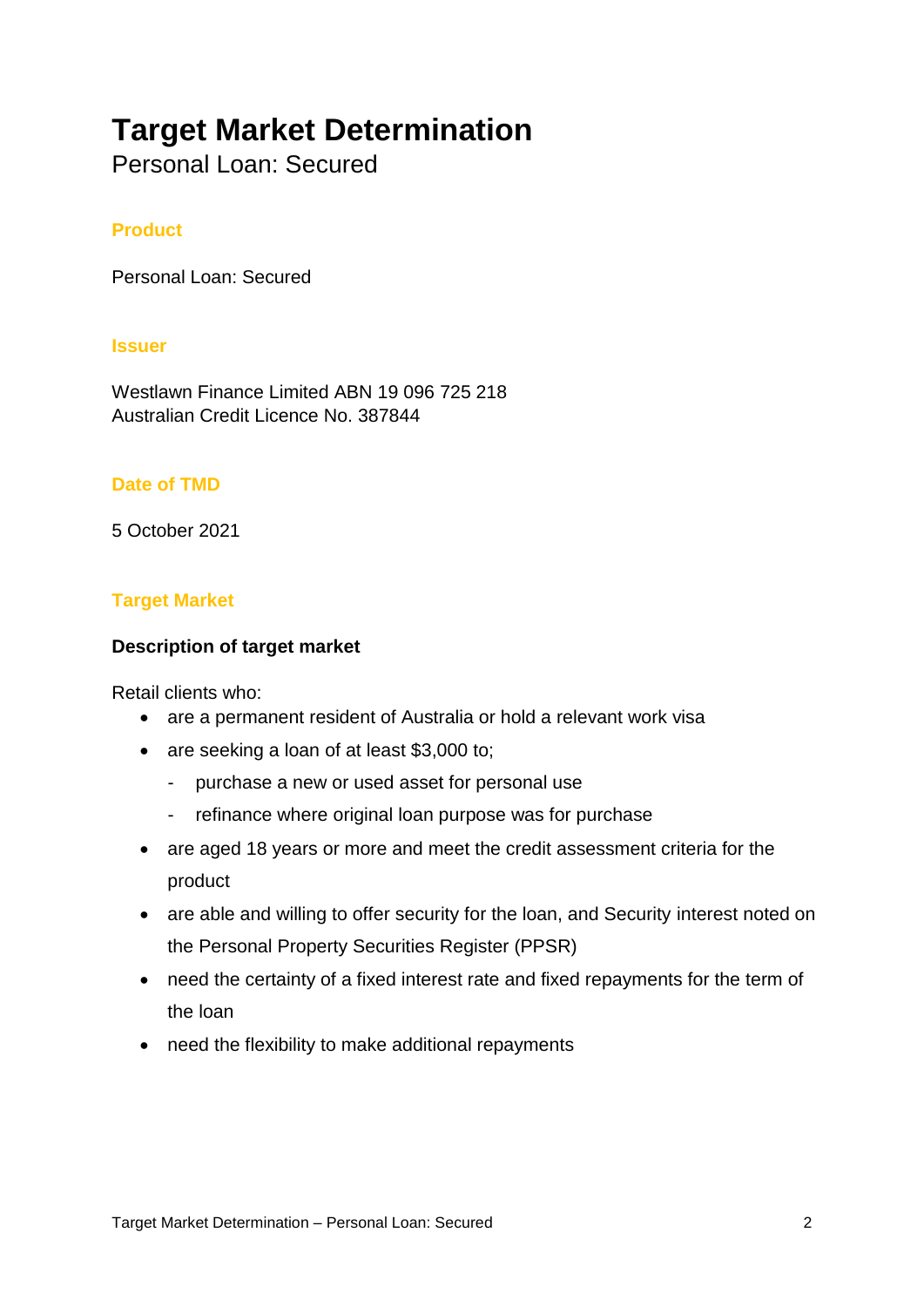# **Target Market Determination**

Personal Loan: Secured

## **Product**

Personal Loan: Secured

#### **Issuer**

Westlawn Finance Limited ABN 19 096 725 218 Australian Credit Licence No. 387844

#### **Date of TMD**

5 October 2021

#### **Target Market**

#### **Description of target market**

Retail clients who:

- are a permanent resident of Australia or hold a relevant work visa
- are seeking a loan of at least \$3,000 to;
	- purchase a new or used asset for personal use
	- refinance where original loan purpose was for purchase
- are aged 18 years or more and meet the credit assessment criteria for the product
- are able and willing to offer security for the loan, and Security interest noted on the Personal Property Securities Register (PPSR)
- need the certainty of a fixed interest rate and fixed repayments for the term of the loan
- need the flexibility to make additional repayments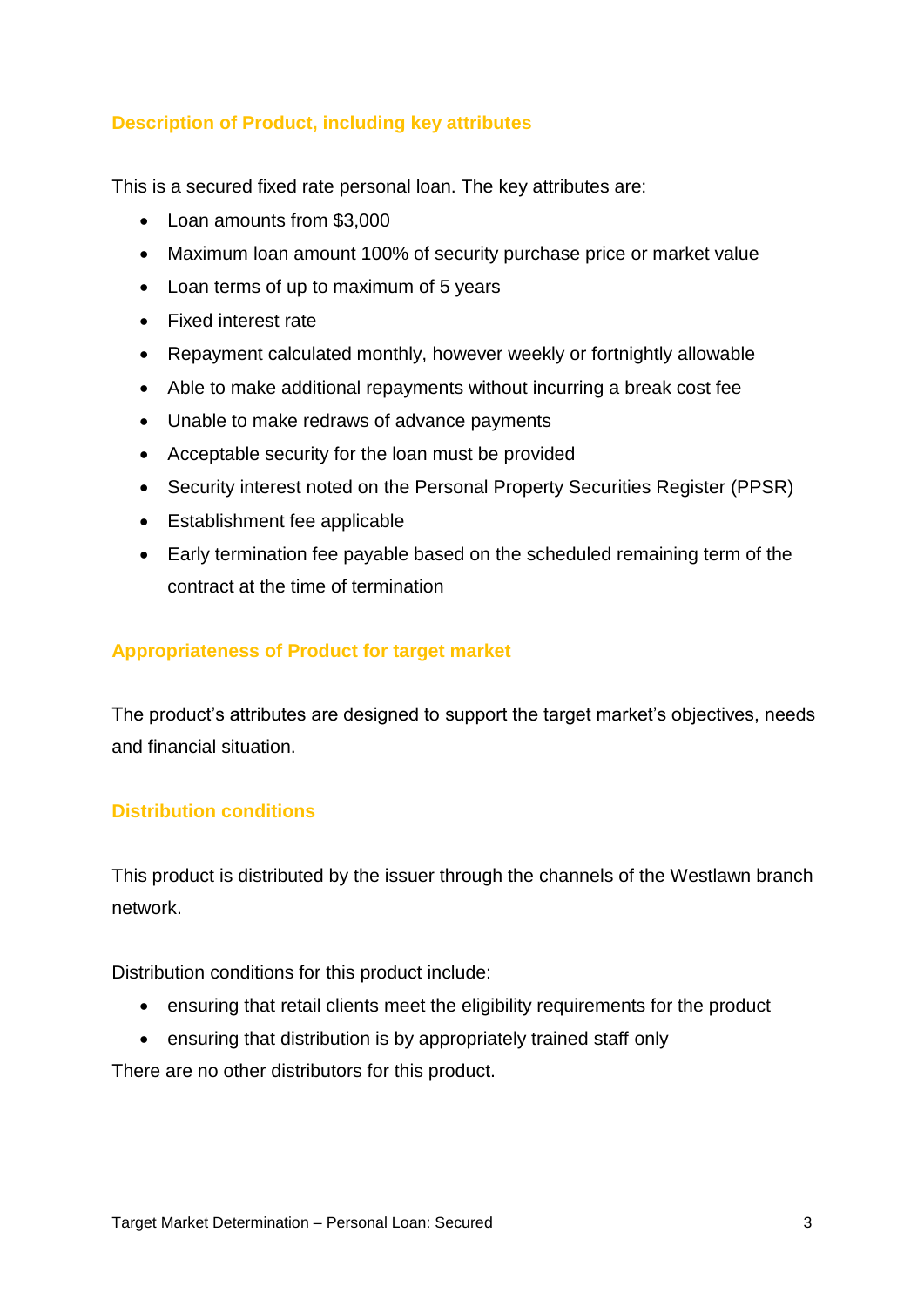## **Description of Product, including key attributes**

This is a secured fixed rate personal loan. The key attributes are:

- Loan amounts from \$3,000
- Maximum loan amount 100% of security purchase price or market value
- Loan terms of up to maximum of 5 years
- Fixed interest rate
- Repayment calculated monthly, however weekly or fortnightly allowable
- Able to make additional repayments without incurring a break cost fee
- Unable to make redraws of advance payments
- Acceptable security for the loan must be provided
- Security interest noted on the Personal Property Securities Register (PPSR)
- Establishment fee applicable
- Early termination fee payable based on the scheduled remaining term of the contract at the time of termination

#### **Appropriateness of Product for target market**

The product's attributes are designed to support the target market's objectives, needs and financial situation.

#### **Distribution conditions**

This product is distributed by the issuer through the channels of the Westlawn branch network.

Distribution conditions for this product include:

- ensuring that retail clients meet the eligibility requirements for the product
- ensuring that distribution is by appropriately trained staff only

There are no other distributors for this product.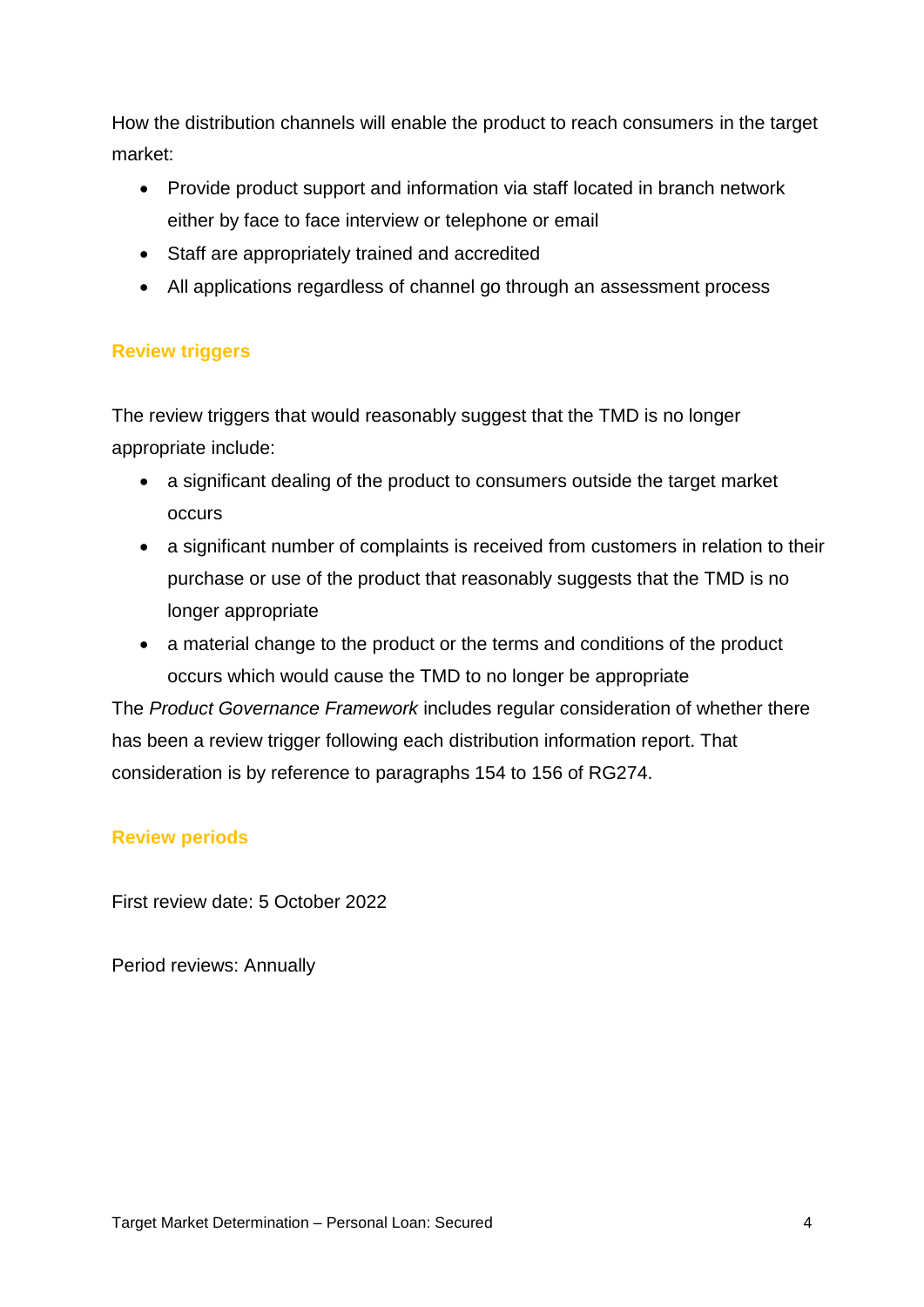How the distribution channels will enable the product to reach consumers in the target market:

- Provide product support and information via staff located in branch network either by face to face interview or telephone or email
- Staff are appropriately trained and accredited
- All applications regardless of channel go through an assessment process

# **Review triggers**

The review triggers that would reasonably suggest that the TMD is no longer appropriate include:

- a significant dealing of the product to consumers outside the target market occurs
- a significant number of complaints is received from customers in relation to their purchase or use of the product that reasonably suggests that the TMD is no longer appropriate
- a material change to the product or the terms and conditions of the product occurs which would cause the TMD to no longer be appropriate

The *Product Governance Framework* includes regular consideration of whether there has been a review trigger following each distribution information report. That consideration is by reference to paragraphs 154 to 156 of RG274.

# **Review periods**

First review date: 5 October 2022

Period reviews: Annually